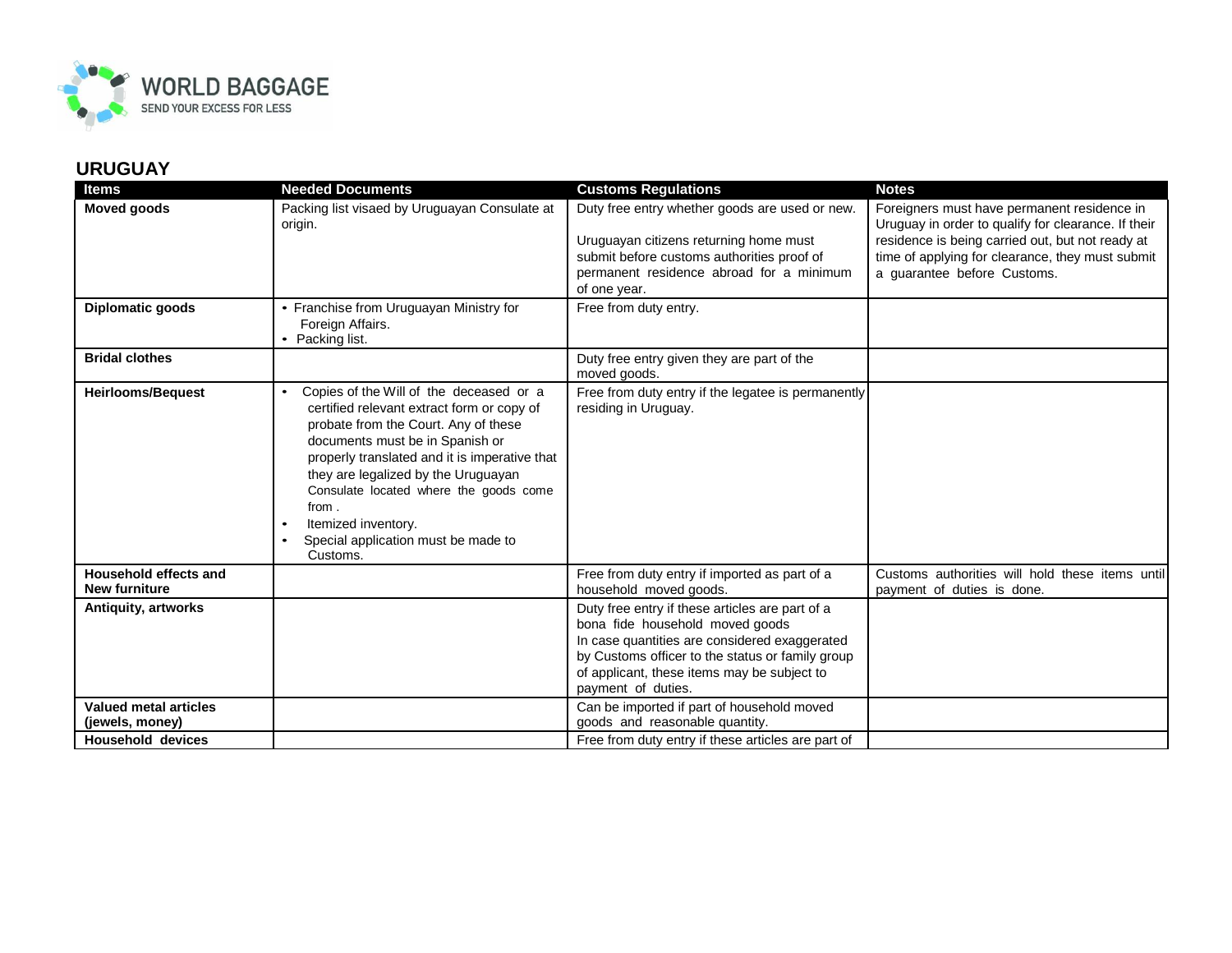

| <b>Items</b>                                  | <b>Needed Documents</b>                                                                                                                                                                                                                                                                                                                                                                            | <b>Customs Regulations</b>                                                                                                                                                                                                                                   | <b>Notes</b>                                                                                                                                                                                                                              |
|-----------------------------------------------|----------------------------------------------------------------------------------------------------------------------------------------------------------------------------------------------------------------------------------------------------------------------------------------------------------------------------------------------------------------------------------------------------|--------------------------------------------------------------------------------------------------------------------------------------------------------------------------------------------------------------------------------------------------------------|-------------------------------------------------------------------------------------------------------------------------------------------------------------------------------------------------------------------------------------------|
| <b>Moved goods</b>                            | Packing list visaed by Uruguayan Consulate at<br>origin.                                                                                                                                                                                                                                                                                                                                           | Duty free entry whether goods are used or new.<br>Uruguayan citizens returning home must<br>submit before customs authorities proof of<br>permanent residence abroad for a minimum<br>of one year.                                                           | Foreigners must have permanent residence in<br>Uruguay in order to qualify for clearance. If their<br>residence is being carried out, but not ready at<br>time of applying for clearance, they must submit<br>a quarantee before Customs. |
| Diplomatic goods                              | • Franchise from Uruguayan Ministry for<br>Foreign Affairs.<br>Packing list.                                                                                                                                                                                                                                                                                                                       | Free from duty entry.                                                                                                                                                                                                                                        |                                                                                                                                                                                                                                           |
| <b>Bridal clothes</b>                         |                                                                                                                                                                                                                                                                                                                                                                                                    | Duty free entry given they are part of the<br>moved goods.                                                                                                                                                                                                   |                                                                                                                                                                                                                                           |
| <b>Heirlooms/Bequest</b>                      | Copies of the Will of the deceased or a<br>$\bullet$<br>certified relevant extract form or copy of<br>probate from the Court. Any of these<br>documents must be in Spanish or<br>properly translated and it is imperative that<br>they are legalized by the Uruguayan<br>Consulate located where the goods come<br>from.<br>Itemized inventory.<br>Special application must be made to<br>Customs. | Free from duty entry if the legatee is permanently<br>residing in Uruguay.                                                                                                                                                                                   |                                                                                                                                                                                                                                           |
| Household effects and<br><b>New furniture</b> |                                                                                                                                                                                                                                                                                                                                                                                                    | Free from duty entry if imported as part of a<br>household moved goods.                                                                                                                                                                                      | Customs authorities will hold these items until<br>payment of duties is done.                                                                                                                                                             |
| <b>Antiquity, artworks</b>                    |                                                                                                                                                                                                                                                                                                                                                                                                    | Duty free entry if these articles are part of a<br>bona fide household moved goods<br>In case quantities are considered exaggerated<br>by Customs officer to the status or family group<br>of applicant, these items may be subject to<br>payment of duties. |                                                                                                                                                                                                                                           |
| Valued metal articles<br>(jewels, money)      |                                                                                                                                                                                                                                                                                                                                                                                                    | Can be imported if part of household moved<br>goods and reasonable quantity.                                                                                                                                                                                 |                                                                                                                                                                                                                                           |
| <b>Household devices</b>                      |                                                                                                                                                                                                                                                                                                                                                                                                    | Free from duty entry if these articles are part of                                                                                                                                                                                                           |                                                                                                                                                                                                                                           |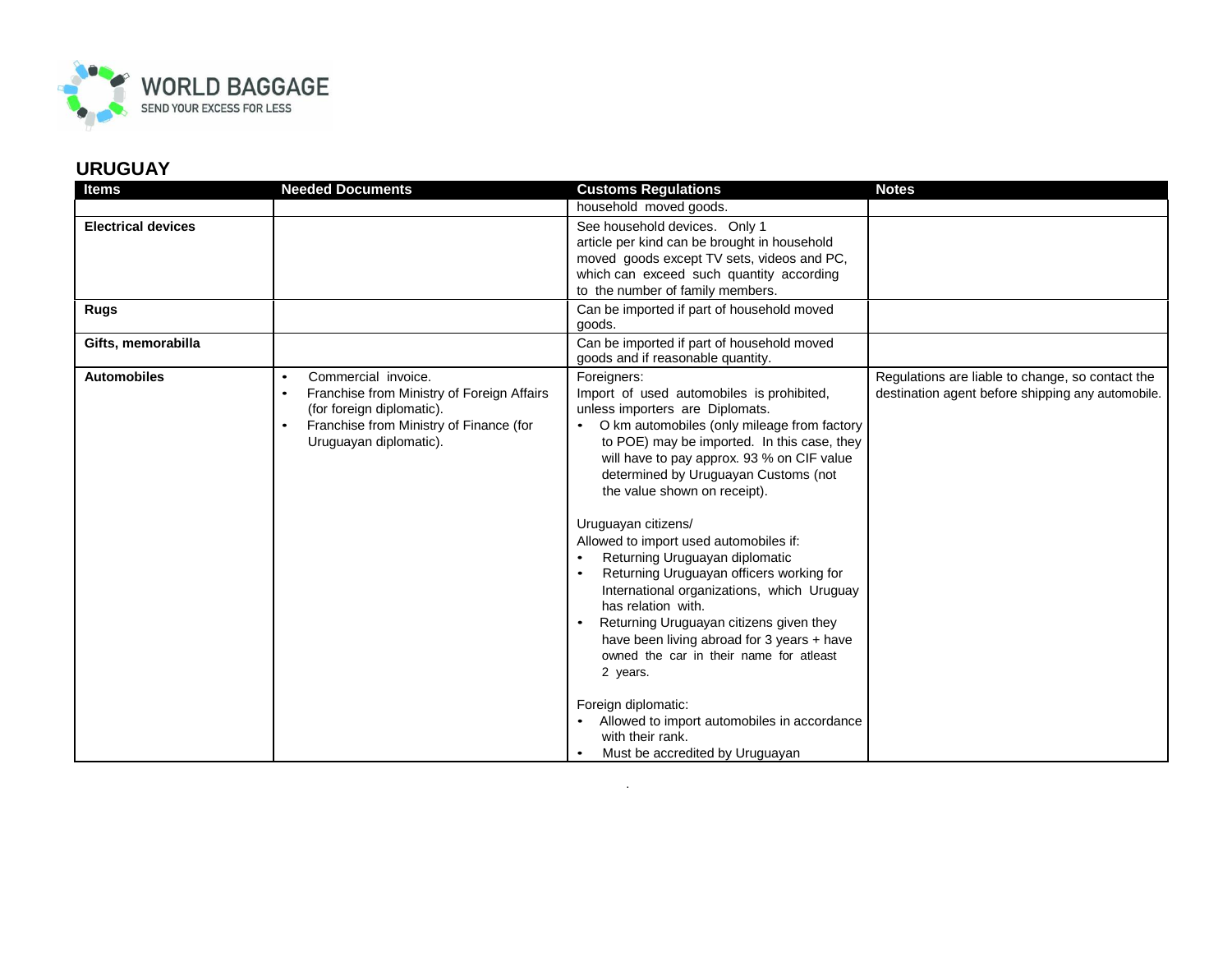

| Items                     | <b>Needed Documents</b>                                                                                                                                                                       | <b>Customs Regulations</b>                                                                                                                                                                                                                                                                                                                                                                                                                                                                                                                                                                                                                                                                                                                                                                                                                  | <b>Notes</b>                                                                                          |
|---------------------------|-----------------------------------------------------------------------------------------------------------------------------------------------------------------------------------------------|---------------------------------------------------------------------------------------------------------------------------------------------------------------------------------------------------------------------------------------------------------------------------------------------------------------------------------------------------------------------------------------------------------------------------------------------------------------------------------------------------------------------------------------------------------------------------------------------------------------------------------------------------------------------------------------------------------------------------------------------------------------------------------------------------------------------------------------------|-------------------------------------------------------------------------------------------------------|
|                           |                                                                                                                                                                                               | household moved goods.                                                                                                                                                                                                                                                                                                                                                                                                                                                                                                                                                                                                                                                                                                                                                                                                                      |                                                                                                       |
| <b>Electrical devices</b> |                                                                                                                                                                                               | See household devices. Only 1<br>article per kind can be brought in household<br>moved goods except TV sets, videos and PC,<br>which can exceed such quantity according<br>to the number of family members.                                                                                                                                                                                                                                                                                                                                                                                                                                                                                                                                                                                                                                 |                                                                                                       |
| <b>Rugs</b>               |                                                                                                                                                                                               | Can be imported if part of household moved<br>goods.                                                                                                                                                                                                                                                                                                                                                                                                                                                                                                                                                                                                                                                                                                                                                                                        |                                                                                                       |
| Gifts, memorabilla        |                                                                                                                                                                                               | Can be imported if part of household moved<br>goods and if reasonable quantity.                                                                                                                                                                                                                                                                                                                                                                                                                                                                                                                                                                                                                                                                                                                                                             |                                                                                                       |
| <b>Automobiles</b>        | Commercial invoice.<br>$\bullet$<br>Franchise from Ministry of Foreign Affairs<br>(for foreign diplomatic).<br>Franchise from Ministry of Finance (for<br>$\bullet$<br>Uruguayan diplomatic). | Foreigners:<br>Import of used automobiles is prohibited,<br>unless importers are Diplomats.<br>• O km automobiles (only mileage from factory<br>to POE) may be imported. In this case, they<br>will have to pay approx. 93 % on CIF value<br>determined by Uruguayan Customs (not<br>the value shown on receipt).<br>Uruguayan citizens/<br>Allowed to import used automobiles if:<br>Returning Uruguayan diplomatic<br>$\bullet$<br>Returning Uruguayan officers working for<br>$\bullet$<br>International organizations, which Uruguay<br>has relation with.<br>Returning Uruguayan citizens given they<br>have been living abroad for 3 years + have<br>owned the car in their name for atleast<br>2 years.<br>Foreign diplomatic:<br>Allowed to import automobiles in accordance<br>with their rank.<br>Must be accredited by Uruguayan | Regulations are liable to change, so contact the<br>destination agent before shipping any automobile. |

.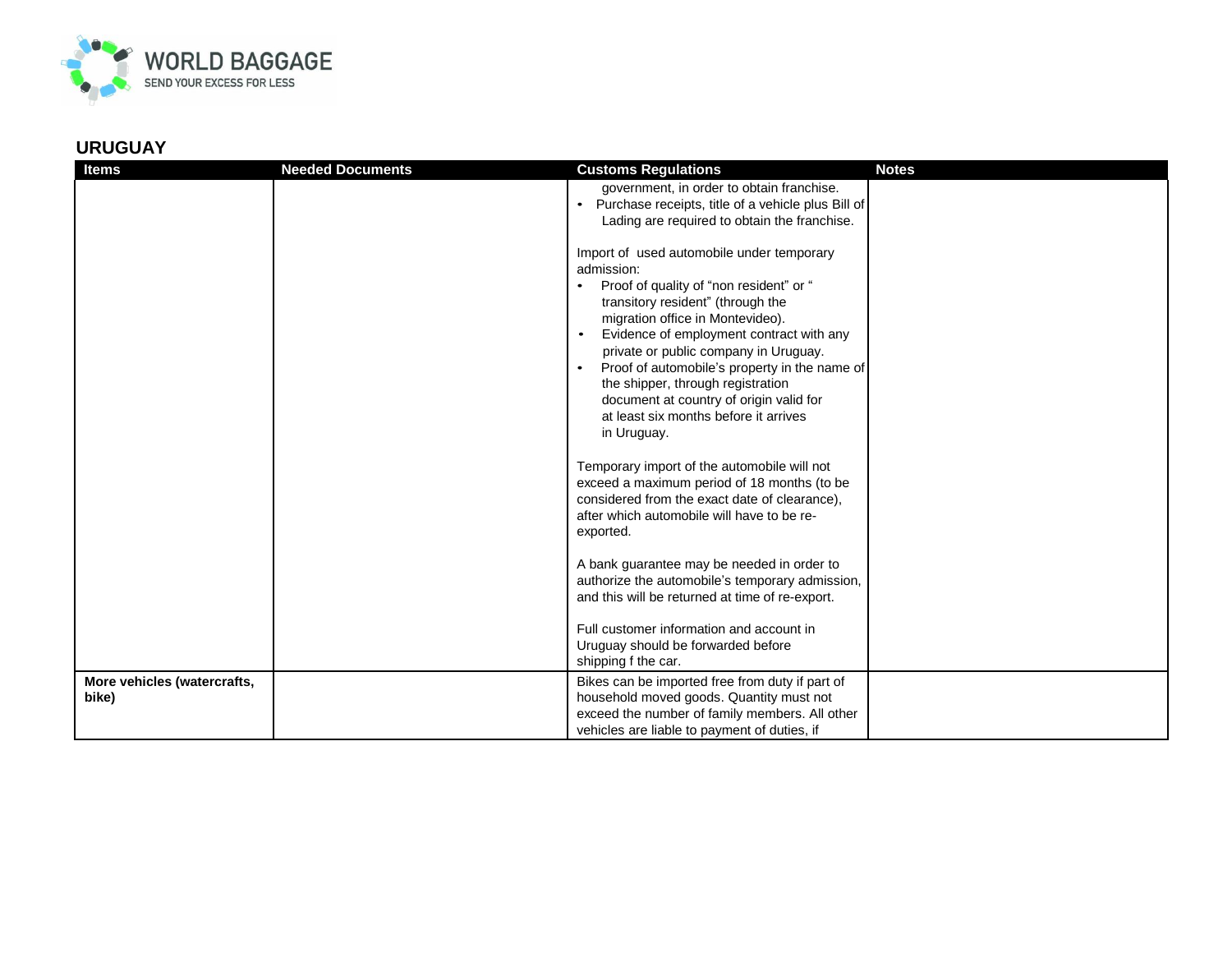

| <b>Items</b>                         | <b>Needed Documents</b> | <b>Customs Regulations</b>                                                                                                                                                                                                                                                                                                                                                                                                                    | <b>Notes</b> |
|--------------------------------------|-------------------------|-----------------------------------------------------------------------------------------------------------------------------------------------------------------------------------------------------------------------------------------------------------------------------------------------------------------------------------------------------------------------------------------------------------------------------------------------|--------------|
|                                      |                         | government, in order to obtain franchise.<br>Purchase receipts, title of a vehicle plus Bill of<br>$\bullet$<br>Lading are required to obtain the franchise.<br>Import of used automobile under temporary<br>admission:<br>Proof of quality of "non resident" or "<br>transitory resident" (through the<br>migration office in Montevideo).<br>Evidence of employment contract with any<br>$\bullet$<br>private or public company in Uruguay. |              |
|                                      |                         | Proof of automobile's property in the name of<br>the shipper, through registration<br>document at country of origin valid for<br>at least six months before it arrives<br>in Uruguay.                                                                                                                                                                                                                                                         |              |
|                                      |                         | Temporary import of the automobile will not<br>exceed a maximum period of 18 months (to be<br>considered from the exact date of clearance),<br>after which automobile will have to be re-<br>exported.                                                                                                                                                                                                                                        |              |
|                                      |                         | A bank guarantee may be needed in order to<br>authorize the automobile's temporary admission,<br>and this will be returned at time of re-export.                                                                                                                                                                                                                                                                                              |              |
|                                      |                         | Full customer information and account in<br>Uruguay should be forwarded before<br>shipping f the car.                                                                                                                                                                                                                                                                                                                                         |              |
| More vehicles (watercrafts,<br>bike) |                         | Bikes can be imported free from duty if part of<br>household moved goods. Quantity must not<br>exceed the number of family members. All other<br>vehicles are liable to payment of duties, if                                                                                                                                                                                                                                                 |              |